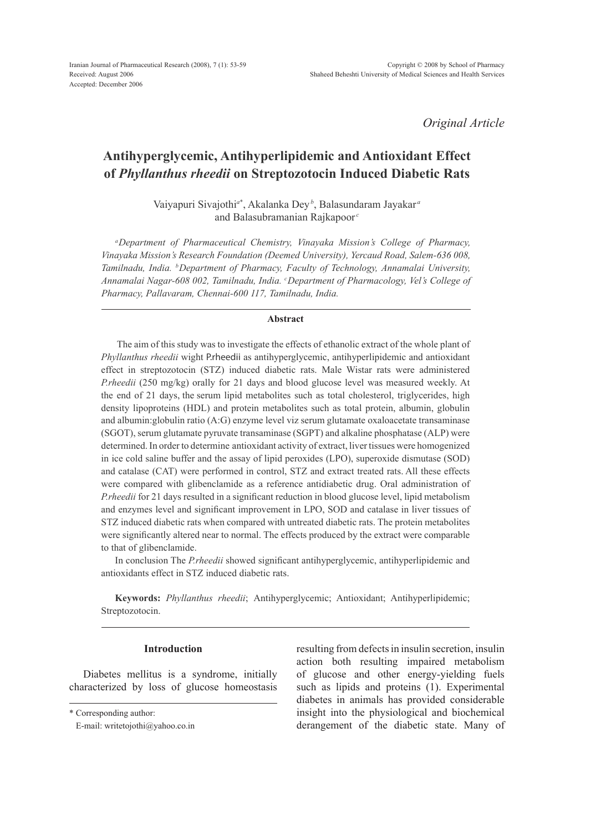*Original Article*

# **Antihyperglycemic, Antihyperlipidemic and Antioxidant Effect of** *Phyllanthus rheedii* **on Streptozotocin Induced Diabetic Rats**

Vaiyapuri Sivajothi*<sup>a</sup>*\* , Akalanka Dey*<sup>b</sup>* , Balasundaram Jayakar *<sup>a</sup>* and Balasubramanian Rajkapoor *<sup>c</sup>*

*aDepartment of Pharmaceutical Chemistry, Vinayaka Mission's College of Pharmacy, Vinayaka Mission's Research Foundation (Deemed University), Yercaud Road, Salem-636 008, Tamilnadu, India. bDepartment of Pharmacy, Faculty of Technology, Annamalai University, Annamalai Nagar-608 002, Tamilnadu, India. c Department of Pharmacology, Vel's College of Pharmacy, Pallavaram, Chennai-600 117, Tamilnadu, India.*

## **Abstract**

 The aim of this study was to investigate the effects of ethanolic extract of the whole plant of *Phyllanthus rheedii* wight P.rheedii as antihyperglycemic, antihyperlipidemic and antioxidant effect in streptozotocin (STZ) induced diabetic rats. Male Wistar rats were administered *P.rheedii* (250 mg/kg) orally for 21 days and blood glucose level was measured weekly. At the end of 21 days, the serum lipid metabolites such as total cholesterol, triglycerides, high density lipoproteins (HDL) and protein metabolites such as total protein, albumin, globulin and albumin:globulin ratio (A:G) enzyme level viz serum glutamate oxaloacetate transaminase (SGOT), serum glutamate pyruvate transaminase (SGPT) and alkaline phosphatase (ALP) were determined. In order to determine antioxidant activity of extract, liver tissues were homogenized in ice cold saline buffer and the assay of lipid peroxides (LPO), superoxide dismutase (SOD) and catalase (CAT) were performed in control, STZ and extract treated rats. All these effects were compared with glibenclamide as a reference antidiabetic drug. Oral administration of *P.rheedii* for 21 days resulted in a significant reduction in blood glucose level, lipid metabolism and enzymes level and significant improvement in LPO, SOD and catalase in liver tissues of STZ induced diabetic rats when compared with untreated diabetic rats. The protein metabolites were significantly altered near to normal. The effects produced by the extract were comparable to that of glibenclamide.

In conclusion The *P.rheedii* showed significant antihyperglycemic, antihyperlipidemic and antioxidants effect in STZ induced diabetic rats.

**Keywords:** *Phyllanthus rheedii*; Antihyperglycemic; Antioxidant; Antihyperlipidemic; Streptozotocin.

## **Introduction**

Diabetes mellitus is a syndrome, initially characterized by loss of glucose homeostasis resulting from defects in insulin secretion, insulin action both resulting impaired metabolism of glucose and other energy-yielding fuels such as lipids and proteins (1). Experimental diabetes in animals has provided considerable insight into the physiological and biochemical derangement of the diabetic state. Many of

<sup>\*</sup> Corresponding author:

E-mail: writetojothi@yahoo.co.in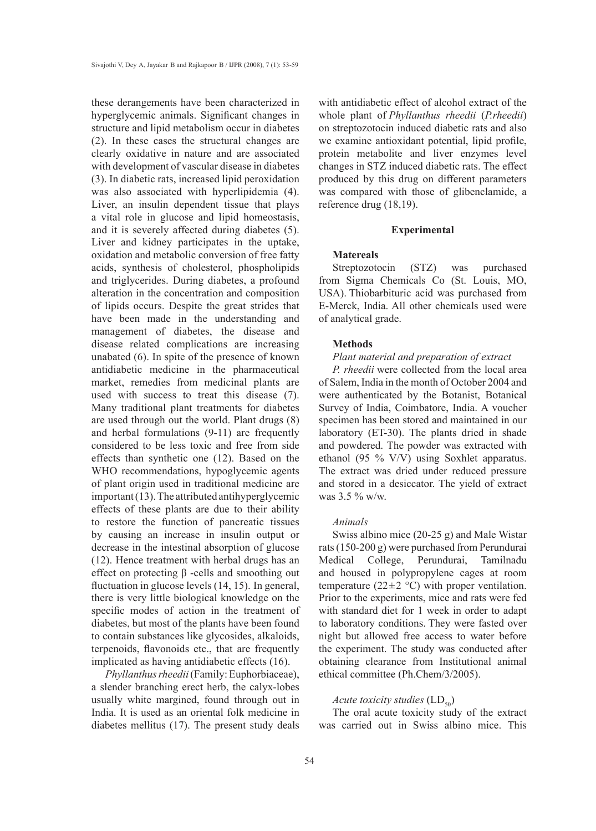these derangements have been characterized in hyperglycemic animals. Significant changes in structure and lipid metabolism occur in diabetes (2). In these cases the structural changes are clearly oxidative in nature and are associated with development of vascular disease in diabetes (3). In diabetic rats, increased lipid peroxidation was also associated with hyperlipidemia (4). Liver, an insulin dependent tissue that plays a vital role in glucose and lipid homeostasis, and it is severely affected during diabetes (5). Liver and kidney participates in the uptake, oxidation and metabolic conversion of free fatty acids, synthesis of cholesterol, phospholipids and triglycerides. During diabetes, a profound alteration in the concentration and composition of lipids occurs. Despite the great strides that have been made in the understanding and management of diabetes, the disease and disease related complications are increasing unabated (6). In spite of the presence of known antidiabetic medicine in the pharmaceutical market, remedies from medicinal plants are used with success to treat this disease (7). Many traditional plant treatments for diabetes are used through out the world. Plant drugs (8) and herbal formulations (9-11) are frequently considered to be less toxic and free from side effects than synthetic one (12). Based on the WHO recommendations, hypoglycemic agents of plant origin used in traditional medicine are important (13). The attributed antihyperglycemic effects of these plants are due to their ability to restore the function of pancreatic tissues by causing an increase in insulin output or decrease in the intestinal absorption of glucose (12). Hence treatment with herbal drugs has an effect on protecting β -cells and smoothing out fluctuation in glucose levels (14, 15). In general, there is very little biological knowledge on the specific modes of action in the treatment of diabetes, but most of the plants have been found to contain substances like glycosides, alkaloids, terpenoids, flavonoids etc., that are frequently implicated as having antidiabetic effects (16).

*Phyllanthus rheedii* (Family: Euphorbiaceae), a slender branching erect herb, the calyx-lobes usually white margined, found through out in India. It is used as an oriental folk medicine in diabetes mellitus (17). The present study deals with antidiabetic effect of alcohol extract of the whole plant of *Phyllanthus rheedii* (*P.rheedii*) on streptozotocin induced diabetic rats and also we examine antioxidant potential, lipid profile, protein metabolite and liver enzymes level changes in STZ induced diabetic rats. The effect produced by this drug on different parameters was compared with those of glibenclamide, a reference drug (18,19).

#### **Experimental**

## **Matereals**

Streptozotocin (STZ) was purchased from Sigma Chemicals Co (St. Louis, MO, USA). Thiobarbituric acid was purchased from E-Merck, India. All other chemicals used were of analytical grade.

## **Methods**

### *Plant material and preparation of extract*

*P. rheedii* were collected from the local area of Salem, India in the month of October 2004 and were authenticated by the Botanist, Botanical Survey of India, Coimbatore, India. A voucher specimen has been stored and maintained in our laboratory (ET-30). The plants dried in shade and powdered. The powder was extracted with ethanol (95 % V/V) using Soxhlet apparatus. The extract was dried under reduced pressure and stored in a desiccator. The yield of extract was 3.5 % w/w.

## *Animals*

Swiss albino mice (20-25 g) and Male Wistar rats (150-200 g) were purchased from Perundurai Medical College, Perundurai, Tamilnadu and housed in polypropylene cages at room temperature (22 $\pm$ 2 °C) with proper ventilation. Prior to the experiments, mice and rats were fed with standard diet for 1 week in order to adapt to laboratory conditions. They were fasted over night but allowed free access to water before the experiment. The study was conducted after obtaining clearance from Institutional animal ethical committee (Ph.Chem/3/2005).

## *Acute toxicity studies* (LD<sub>50</sub>)

The oral acute toxicity study of the extract was carried out in Swiss albino mice. This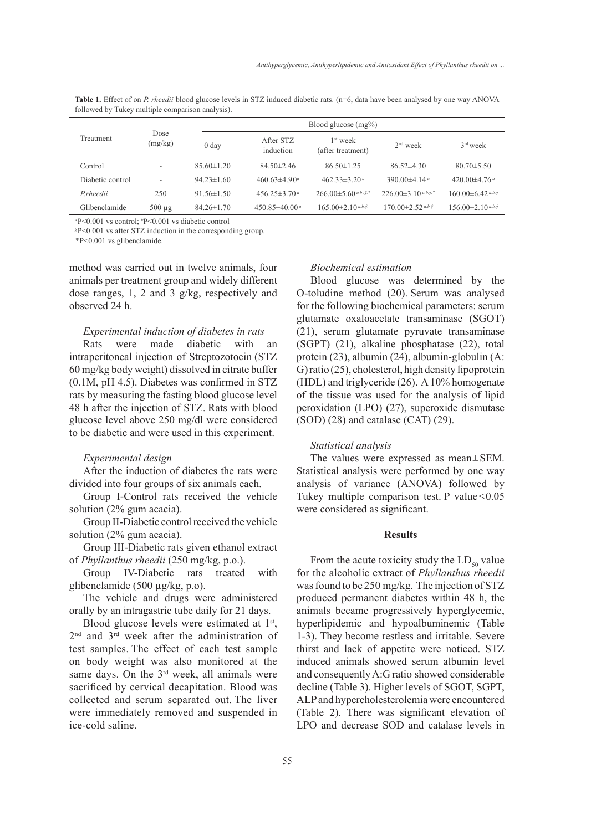**Table 1.** Effect of on *P. rheedii* blood glucose levels in STZ induced diabetic rats. (n=6, data have been analysed by one way ANOVA followed by Tukey multiple comparison analysis).

| Treatment         | Dose<br>(mg/kg)          |                  | Blood glucose $(mg\%)$    |                                           |                                |                                         |  |  |
|-------------------|--------------------------|------------------|---------------------------|-------------------------------------------|--------------------------------|-----------------------------------------|--|--|
|                   |                          | 0 <sub>day</sub> | After STZ<br>induction    | 1 <sup>st</sup> week<br>(after treatment) | $2nd$ week                     | $3rd$ week                              |  |  |
| Control           | $\overline{\phantom{a}}$ | $85.60 \pm 1.20$ | $84.50 \pm 2.46$          | $86.50 \pm 1.25$                          | $86.52\pm4.30$                 | $80.70 \pm 5.50$                        |  |  |
| Diabetic control  |                          | $94.23 \pm 1.60$ | $460.63\pm4.90^a$         | 462.33 $\pm$ 3.20 <sup>a</sup>            | 390.00 $\pm$ 4.14 <sup>a</sup> | 420.00 $\pm$ 4.76 $a$                   |  |  |
| <i>P</i> .rheedii | 250                      | $91.56 \pm 1.50$ | $456.25 \pm 3.70^{\circ}$ | 266.00 $\pm$ 5.60 $a,b,s.*$               | $226.00\pm3.10^{a,b,\xi,*}$    | $160.00\pm6.42$ <sup><i>a,b,§</i></sup> |  |  |
| Glibenclamide     | $500 \mu$ g              | $84.26 \pm 1.70$ | $450.85\pm40.00a$         | $165.00\pm2.10$ a,b, s,                   | $170.00 \pm 2.52$ a,b, §       | $156.00\pm2.10$ a,b, §                  |  |  |

*<sup>a</sup>*P<0.001 vs control; *<sup>b</sup>* P<0.001 vs diabetic control

*§*P<0.001 vs after STZ induction in the corresponding group.

*\**P<0.001 vs glibenclamide.

method was carried out in twelve animals, four animals per treatment group and widely different dose ranges, 1, 2 and 3 g/kg, respectively and observed 24 h.

## *Experimental induction of diabetes in rats*

Rats were made diabetic with an intraperitoneal injection of Streptozotocin (STZ 60 mg/kg body weight) dissolved in citrate buffer (0.1M, pH 4.5). Diabetes was confirmed in STZ rats by measuring the fasting blood glucose level 48 h after the injection of STZ. Rats with blood glucose level above 250 mg/dl were considered to be diabetic and were used in this experiment.

#### *Experimental design*

After the induction of diabetes the rats were divided into four groups of six animals each.

Group I-Control rats received the vehicle solution (2% gum acacia).

Group II-Diabetic control received the vehicle solution (2% gum acacia).

Group III-Diabetic rats given ethanol extract of *Phyllanthus rheedii* (250 mg/kg, p.o.).

Group IV-Diabetic rats treated with glibenclamide (500 µg/kg, p.o).

The vehicle and drugs were administered orally by an intragastric tube daily for 21 days.

Blood glucose levels were estimated at  $1<sup>st</sup>$ , 2<sup>nd</sup> and 3<sup>rd</sup> week after the administration of test samples. The effect of each test sample on body weight was also monitored at the same days. On the 3<sup>rd</sup> week, all animals were sacrificed by cervical decapitation. Blood was collected and serum separated out. The liver were immediately removed and suspended in ice-cold saline.

#### *Biochemical estimation*

Blood glucose was determined by the O-toludine method (20). Serum was analysed for the following biochemical parameters: serum glutamate oxaloacetate transaminase (SGOT) (21), serum glutamate pyruvate transaminase (SGPT) (21), alkaline phosphatase (22), total protein (23), albumin (24), albumin-globulin (A: G) ratio (25), cholesterol, high density lipoprotein (HDL) and triglyceride (26). A 10% homogenate of the tissue was used for the analysis of lipid peroxidation (LPO) (27), superoxide dismutase (SOD) (28) and catalase (CAT) (29).

### *Statistical analysis*

The values were expressed as mean±SEM. Statistical analysis were performed by one way analysis of variance (ANOVA) followed by Tukey multiple comparison test. P value<0.05 were considered as significant.

#### **Results**

From the acute toxicity study the  $LD_{50}$  value for the alcoholic extract of *Phyllanthus rheedii* was found to be 250 mg/kg. The injection of STZ produced permanent diabetes within 48 h, the animals became progressively hyperglycemic, hyperlipidemic and hypoalbuminemic (Table 1-3). They become restless and irritable. Severe thirst and lack of appetite were noticed. STZ induced animals showed serum albumin level and consequently A:G ratio showed considerable decline (Table 3). Higher levels of SGOT, SGPT, ALP and hypercholesterolemia were encountered (Table 2). There was significant elevation of LPO and decrease SOD and catalase levels in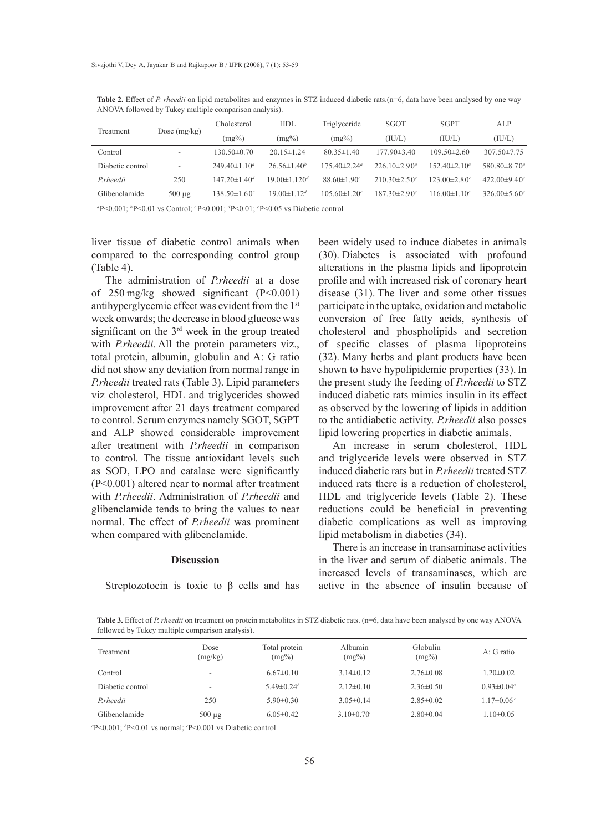| Treatment         | Dose $(mg/kg)$           | Cholesterol                    | <b>HDL</b>                     | Triglyceride                   | SGOT              | <b>SGPT</b>                    | ALP                            |
|-------------------|--------------------------|--------------------------------|--------------------------------|--------------------------------|-------------------|--------------------------------|--------------------------------|
|                   |                          | $(mg\%)$                       | $(mg\%)$                       | $(mg\%)$                       | (IU/L)            | (IU/L)                         | (IU/L)                         |
| Control           | $\overline{\phantom{a}}$ | $130.50\pm0.70$                | $20.15 \pm 1.24$               | $80.35 \pm 1.40$               | $177.90 \pm 3.40$ | $109.50\pm2.60$                | $307.50 \pm 7.75$              |
| Diabetic control  | ۰                        | $249.40 \pm 1.10^a$            | $26.56\pm1.40^b$               | $175.40 \pm 2.24$ <sup>a</sup> | $226.10\pm2.90^a$ | $152.40 \pm 2.10^a$            | 580.80 $\pm$ 8.70 <sup>a</sup> |
| <i>P</i> .rheedii | 250                      | $147.20 \pm 1.40^d$            | $19.00 \pm 1.120$ <sup>d</sup> | $88.60 \pm 1.90$               | $210.30\pm2.50^e$ | $123.00 \pm 2.80$ <sup>c</sup> | 422.00 $\pm$ 9.40 $\degree$    |
| Glibenclamide     | $500 \mu$ g              | $138.50 \pm 1.60$ <sup>c</sup> | $19.00 \pm 1.12^d$             | $105.60 \pm 1.20$              | $187.30 \pm 2.90$ | $116.00 \pm 1.10^c$            | $326.00\pm5.60$ <sup>c</sup>   |

**Table 2.** Effect of *P. rheedii* on lipid metabolites and enzymes in STZ induced diabetic rats.(n=6, data have been analysed by one way ANOVA followed by Tukey multiple comparison analysis).

*<sup>a</sup>*P<0.001; *<sup>b</sup>*P<0.01 vs Control; *<sup>c</sup>*P<0.001; *<sup>d</sup>*P<0.01; *<sup>e</sup>* P<0.05 vs Diabetic control

liver tissue of diabetic control animals when compared to the corresponding control group (Table 4).

The administration of *P.rheedii* at a dose of 250 mg/kg showed significant (P<0.001) antihyperglycemic effect was evident from the 1st week onwards; the decrease in blood glucose was significant on the 3rd week in the group treated with *P.rheedii*. All the protein parameters viz., total protein, albumin, globulin and A: G ratio did not show any deviation from normal range in *P.rheedii* treated rats (Table 3). Lipid parameters viz cholesterol, HDL and triglycerides showed improvement after 21 days treatment compared to control. Serum enzymes namely SGOT, SGPT and ALP showed considerable improvement after treatment with *P.rheedii* in comparison to control. The tissue antioxidant levels such as SOD, LPO and catalase were significantly (P<0.001) altered near to normal after treatment with *P.rheedii*. Administration of *P.rheedii* and glibenclamide tends to bring the values to near normal. The effect of *P.rheedii* was prominent when compared with glibenclamide.

## **Discussion**

been widely used to induce diabetes in animals (30). Diabetes is associated with profound alterations in the plasma lipids and lipoprotein profile and with increased risk of coronary heart disease (31). The liver and some other tissues participate in the uptake, oxidation and metabolic conversion of free fatty acids, synthesis of cholesterol and phospholipids and secretion of specific classes of plasma lipoproteins (32). Many herbs and plant products have been shown to have hypolipidemic properties  $(33)$ . In the present study the feeding of *P.rheedii* to STZ induced diabetic rats mimics insulin in its effect as observed by the lowering of lipids in addition to the antidiabetic activity. *P.rheedii* also posses lipid lowering properties in diabetic animals.

An increase in serum cholesterol, HDL and triglyceride levels were observed in STZ induced diabetic rats but in *P.rheedii* treated STZ induced rats there is a reduction of cholesterol, HDL and triglyceride levels (Table 2). These reductions could be beneficial in preventing diabetic complications as well as improving lipid metabolism in diabetics (34).

There is an increase in transaminase activities in the liver and serum of diabetic animals. The increased levels of transaminases, which are active in the absence of insulin because of

Streptozotocin is toxic to  $\beta$  cells and has

**Table 3.** Effect of *P. rheedii* on treatment on protein metabolites in STZ diabetic rats. (n=6, data have been analysed by one way ANOVA followed by Tukey multiple comparison analysis).

| Treatment        | Dose<br>(mg/kg)          | Total protein<br>$(mg\%)$ | Albumin<br>$(mg\%)$ | Globulin<br>$(mg\%)$ | $A:$ G ratio      |
|------------------|--------------------------|---------------------------|---------------------|----------------------|-------------------|
| Control          | ۰                        | $6.67\pm0.10$             | $3.14\pm0.12$       | $2.76\pm0.08$        | $1.20 \pm 0.02$   |
| Diabetic control | $\overline{\phantom{a}}$ | $5.49\pm0.24^b$           | $2.12\pm 0.10$      | $2.36\pm0.50$        | $0.93 \pm 0.04^a$ |
| <i>P.rheedii</i> | 250                      | $5.90\pm0.30$             | $3.05\pm0.14$       | $2.85\pm0.02$        | $1.17\pm0.06c$    |
| Glibenclamide    | $500 \mu g$              | $6.05\pm0.42$             | $3.10\pm0.70^c$     | $2.80\pm0.04$        | $1.10 \pm 0.05$   |

*a* P<0.001; *<sup>b</sup>* P<0.01 vs normal; *<sup>c</sup>* P<0.001 vs Diabetic control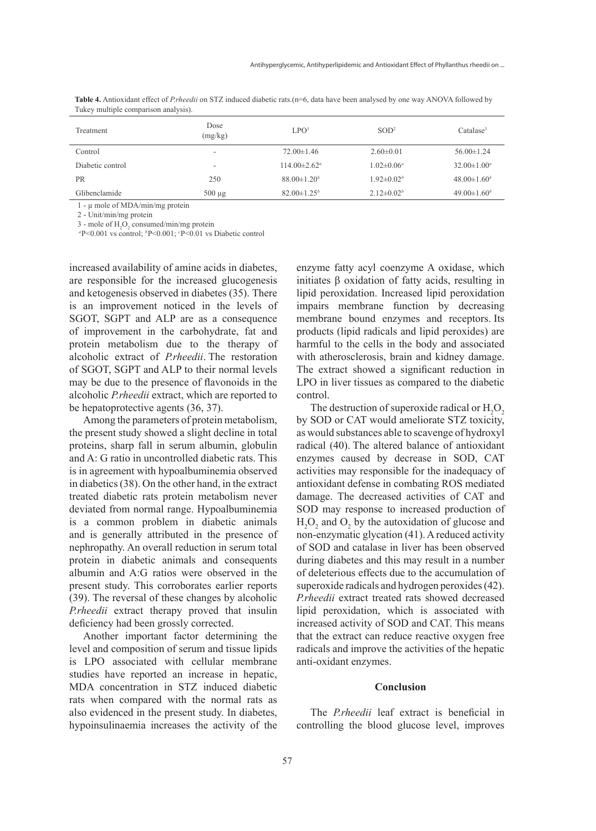| $\ldots$         |                 |                           |                   |                       |  |  |
|------------------|-----------------|---------------------------|-------------------|-----------------------|--|--|
| Treatment        | Dose<br>(mg/kg) | LPO <sup>1</sup>          | SOD <sup>2</sup>  | Catalase <sup>3</sup> |  |  |
| Control          |                 | $72.00 \pm 1.46$          | $2.60 \pm 0.01$   | $56.00 \pm 1.24$      |  |  |
| Diabetic control | ۰               | $114.00 \pm 2.62^{\circ}$ | $1.02 \pm 0.06^a$ | $32.00 \pm 1.00^a$    |  |  |
| <b>PR</b>        | 250             | $88.00 \pm 1.20^b$        | $1.92 \pm 0.02^b$ | $48.00 \pm 1.60^b$    |  |  |
| Glibenclamide    | $500 \mu g$     | $82.00 \pm 1.25^b$        | $2.12 \pm 0.02^b$ | $49.00 \pm 1.60^b$    |  |  |

**Table 4.** Antioxidant effect of *P.rheedii* on STZ induced diabetic rats.(n=6, data have been analysed by one way ANOVA followed by Tukey multiple comparison analysis).

1 - µ mole of MDA/min/mg protein

2 - Unit/min/mg protein

3 - mole of  $H_2O_2$  consumed/min/mg protein *<sup>a</sup>*P<0.001 vs control; *<sup>b</sup>*P<0.001; *<sup>c</sup>* P<0.01 vs Diabetic control

increased availability of amine acids in diabetes, are responsible for the increased glucogenesis and ketogenesis observed in diabetes (35). There is an improvement noticed in the levels of SGOT, SGPT and ALP are as a consequence of improvement in the carbohydrate, fat and protein metabolism due to the therapy of alcoholic extract of *P.rheedii*. The restoration of SGOT, SGPT and ALP to their normal levels may be due to the presence of flavonoids in the alcoholic *P.rheedii* extract, which are reported to be hepatoprotective agents (36, 37).

Among the parameters of protein metabolism, the present study showed a slight decline in total proteins, sharp fall in serum albumin, globulin and A: G ratio in uncontrolled diabetic rats. This is in agreement with hypoalbuminemia observed in diabetics (38). On the other hand, in the extract treated diabetic rats protein metabolism never deviated from normal range. Hypoalbuminemia is a common problem in diabetic animals and is generally attributed in the presence of nephropathy. An overall reduction in serum total protein in diabetic animals and consequents albumin and A:G ratios were observed in the present study. This corroborates earlier reports (39). The reversal of these changes by alcoholic *P.rheedii* extract therapy proved that insulin deficiency had been grossly corrected.

Another important factor determining the level and composition of serum and tissue lipids is LPO associated with cellular membrane studies have reported an increase in hepatic, MDA concentration in STZ induced diabetic rats when compared with the normal rats as also evidenced in the present study. In diabetes, hypoinsulinaemia increases the activity of the enzyme fatty acyl coenzyme A oxidase, which initiates  $β$  oxidation of fatty acids, resulting in lipid peroxidation. Increased lipid peroxidation impairs membrane function by decreasing membrane bound enzymes and receptors. Its products (lipid radicals and lipid peroxides) are harmful to the cells in the body and associated with atherosclerosis, brain and kidney damage. The extract showed a significant reduction in LPO in liver tissues as compared to the diabetic control.

The destruction of superoxide radical or  $H_2O_2$ by SOD or CAT would ameliorate STZ toxicity, as would substances able to scavenge of hydroxyl radical (40). The altered balance of antioxidant enzymes caused by decrease in SOD, CAT activities may responsible for the inadequacy of antioxidant defense in combating ROS mediated damage. The decreased activities of CAT and SOD may response to increased production of  $H_2O_2$  and  $O_2$  by the autoxidation of glucose and non-enzymatic glycation (41). A reduced activity of SOD and catalase in liver has been observed during diabetes and this may result in a number of deleterious effects due to the accumulation of superoxide radicals and hydrogen peroxides (42). *P.rheedii* extract treated rats showed decreased lipid peroxidation, which is associated with increased activity of SOD and CAT. This means that the extract can reduce reactive oxygen free radicals and improve the activities of the hepatic anti-oxidant enzymes.

#### **Conclusion**

The *P.rheedii* leaf extract is beneficial in controlling the blood glucose level, improves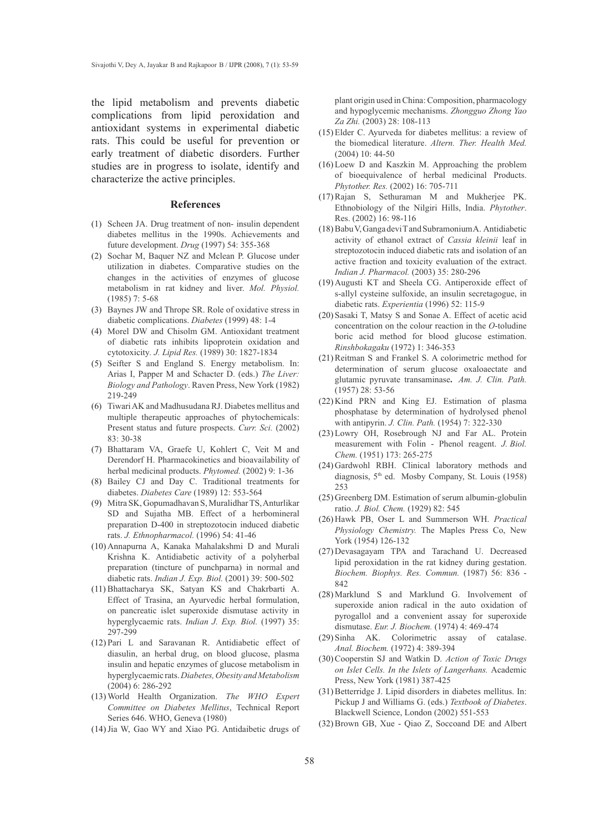the lipid metabolism and prevents diabetic complications from lipid peroxidation and antioxidant systems in experimental diabetic rats. This could be useful for prevention or early treatment of diabetic disorders. Further studies are in progress to isolate, identify and characterize the active principles.

#### **References**

- (1) Scheen JA. Drug treatment of non- insulin dependent diabetes mellitus in the 1990s. Achievements and future development. *Drug* (1997) 54: 355-368
- (2) Sochar M, Baquer NZ and Mclean P. Glucose under utilization in diabetes. Comparative studies on the changes in the activities of enzymes of glucose metabolism in rat kidney and liver. *Mol. Physiol.*  (1985) 7: 5-68
- (3) Baynes JW and Thrope SR. Role of oxidative stress in diabetic complications. *Diabetes* (1999) 48: 1-4
- (4) Morel DW and Chisolm GM. Antioxidant treatment of diabetic rats inhibits lipoprotein oxidation and cytotoxicity*. J. Lipid Res.* (1989) 30: 1827-1834
- (5) Seifter S and England S. Energy metabolism. In: Arias I, Papper M and Schacter D. (eds.) *The Liver: Biology and Pathology*. Raven Press, New York (1982) 219-249
- Tiwari AK and Madhusudana RJ. Diabetes mellitus and (6) multiple therapeutic approaches of phytochemicals: Present status and future prospects. *Curr. Sci.* (2002) 83: 30-38
- Bhattaram VA, Graefe U, Kohlert C, Veit M and (7) Derendorf H. Pharmacokinetics and bioavailability of herbal medicinal products. *Phytomed.* (2002) 9: 1-36
- Bailey CJ and Day C. Traditional treatments for (8) diabetes. *Diabetes Care* (1989) 12: 553-564
- Mitra SK, Gopumadhavan S, Muralidhar TS, Anturlikar (9) SD and Sujatha MB. Effect of a herbomineral preparation D-400 in streptozotocin induced diabetic rats. *J. Ethnopharmacol.* (1996) 54: 41-46
- (10) Annapurna A, Kanaka Mahalakshmi D and Murali Krishna K. Antidiabetic activity of a polyherbal preparation (tincture of punchparna) in normal and diabetic rats. *Indian J. Exp. Biol.* (2001) 39: 500-502
- Bhattacharya SK, Satyan KS and Chakrbarti A. (11) Effect of Trasina, an Ayurvedic herbal formulation, on pancreatic islet superoxide dismutase activity in hyperglycaemic rats. *Indian J. Exp. Biol.* (1997) 35: 297-299
- $(12)$  Pari L and Saravanan R. Antidiabetic effect of diasulin, an herbal drug, on blood glucose, plasma insulin and hepatic enzymes of glucose metabolism in hyperglycaemic rats. *Diabetes, Obesity and Metabolism* (2004) 6: 286-292
- World Health Organization. *The WHO Expert*  (13) *Committee on Diabetes Mellitus*, Technical Report Series 646. WHO, Geneva (1980)
- (14) Jia W, Gao WY and Xiao PG. Antidaibetic drugs of

plant origin used in China: Composition, pharmacology and hypoglycemic mechanisms. *Zhongguo Zhong Yao Za Zhi.* (2003) 28: 108-113

- Elder C. Ayurveda for diabetes mellitus: a review of (15) the biomedical literature. *Altern. Ther. Health Med.* (2004) 10: 44-50
- $(16)$  Loew D and Kaszkin M. Approaching the problem of bioequivalence of herbal medicinal Products. *Phytother. Res.* (2002) 16: 705-711
- $(17)$  Rajan S, Sethuraman M and Mukherjee PK. Ethnobiology of the Nilgiri Hills, India. *Phytother*. Res. (2002) 16: 98-116
- $(18)$  Babu V, Ganga devi T and Subramonium A. Antidiabetic activity of ethanol extract of *Cassia kleinii* leaf in streptozotocin induced diabetic rats and isolation of an active fraction and toxicity evaluation of the extract. *Indian J. Pharmacol.* (2003) 35: 280-296
- $(19)$  Augusti KT and Sheela CG. Antiperoxide effect of s-allyl cysteine sulfoxide, an insulin secretagogue, in diabetic rats. *Experientia* (1996) 52: 115-9
- (20) Sasaki T, Matsy S and Sonae A. Effect of acetic acid concentration on the colour reaction in the *O*-toludine boric acid method for blood glucose estimation. *Rinshbokagaku* (1972) 1: 346-353
- $(21)$  Reitman S and Frankel S. A colorimetric method for determination of serum glucose oxaloaectate and glutamic pyruvate transaminase**.** *Am. J. Clin. Path.* (1957) 28: 53-56
- $(22)$  Kind PRN and King EJ. Estimation of plasma phosphatase by determination of hydrolysed phenol with antipyrin. *J. Clin. Path.* (1954) 7: 322-330
- (23) Lowry OH, Rosebrough NJ and Far AL. Protein measurement with Folin - Phenol reagent. *J. Biol. Chem.* (1951) 173: 265-275
- (24) Gardwohl RBH. Clinical laboratory methods and diagnosis, 5th ed. Mosby Company, St. Louis (1958) 253
- (25) Greenberg DM. Estimation of serum albumin-globulin ratio. *J. Biol. Chem.* (1929) 82: 545
- (26) Hawk PB, Oser L and Summerson WH. *Practical Physiology Chemistry.* The Maples Press Co, New York (1954) 126-132
- (27) Devasagayam TPA and Tarachand U. Decreased lipid peroxidation in the rat kidney during gestation. *Biochem. Biophys. Res. Commun.* (1987) 56: 836 - 842
- (28) Marklund S and Marklund G. Involvement of superoxide anion radical in the auto oxidation of pyrogallol and a convenient assay for superoxide dismutase. *Eur. J. Biochem.* (1974) 4: 469-474
- (29) Sinha AK. Colorimetric assay of catalase. *Anal. Biochem.* (1972) 4: 389-394
- (30) Cooperstin SJ and Watkin D. Action of Toxic Drugs *on Islet Cells. In the Islets of Langerhans.* Academic Press, New York (1981) 387-425
- (31) Betterridge J. Lipid disorders in diabetes mellitus. In: Pickup J and Williams G. (eds.) *Textbook of Diabetes*. Blackwell Science, London (2002) 551-553
- (32) Brown GB, Xue Qiao Z, Soccoand DE and Albert